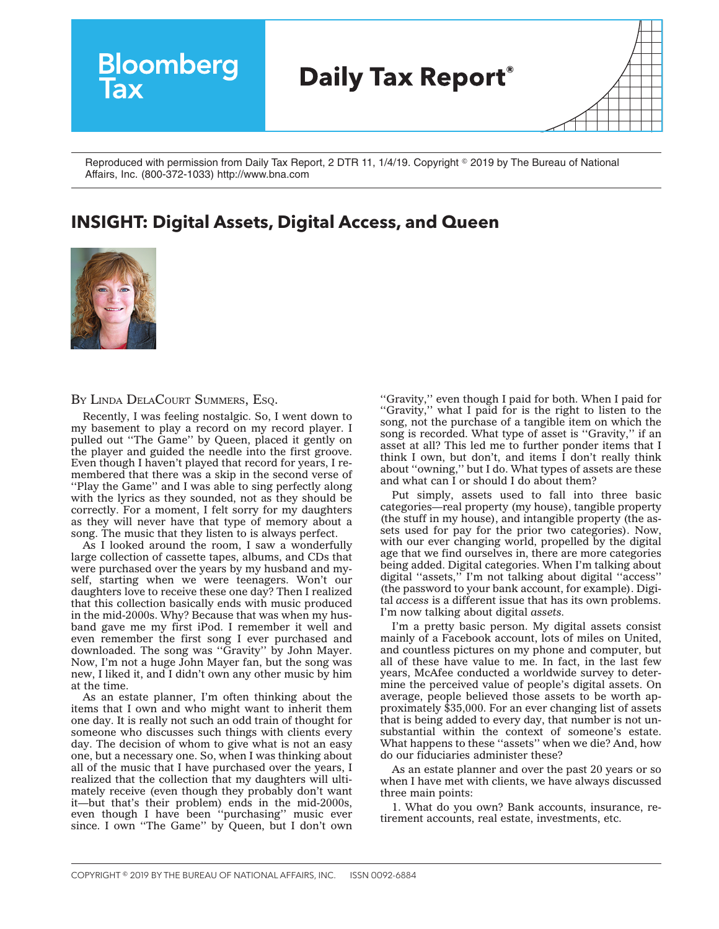

Reproduced with permission from Daily Tax Report, 2 DTR 11, 1/4/19. Copyright © 2019 by The Bureau of National Affairs, Inc. (800-372-1033) http://www.bna.com

## **INSIGHT: Digital Assets, Digital Access, and Queen**



BY LINDA DELACOURT SUMMERS, ESO.

Recently, I was feeling nostalgic. So, I went down to my basement to play a record on my record player. I pulled out ''The Game'' by Queen, placed it gently on the player and guided the needle into the first groove. Even though I haven't played that record for years, I remembered that there was a skip in the second verse of ''Play the Game'' and I was able to sing perfectly along with the lyrics as they sounded, not as they should be correctly. For a moment, I felt sorry for my daughters as they will never have that type of memory about a song. The music that they listen to is always perfect.

As I looked around the room, I saw a wonderfully large collection of cassette tapes, albums, and CDs that were purchased over the years by my husband and myself, starting when we were teenagers. Won't our daughters love to receive these one day? Then I realized that this collection basically ends with music produced in the mid-2000s. Why? Because that was when my husband gave me my first iPod. I remember it well and even remember the first song I ever purchased and downloaded. The song was ''Gravity'' by John Mayer. Now, I'm not a huge John Mayer fan, but the song was new, I liked it, and I didn't own any other music by him at the time.

As an estate planner, I'm often thinking about the items that I own and who might want to inherit them one day. It is really not such an odd train of thought for someone who discusses such things with clients every day. The decision of whom to give what is not an easy one, but a necessary one. So, when I was thinking about all of the music that I have purchased over the years, I realized that the collection that my daughters will ultimately receive (even though they probably don't want it—but that's their problem) ends in the mid-2000s, even though I have been ''purchasing'' music ever since. I own ''The Game'' by Queen, but I don't own

''Gravity,'' even though I paid for both. When I paid for "Gravity," what I paid for is the right to listen to the song, not the purchase of a tangible item on which the song is recorded. What type of asset is "Gravity," if an asset at all? This led me to further ponder items that I think I own, but don't, and items I don't really think about ''owning,'' but I do. What types of assets are these and what can I or should I do about them?

Put simply, assets used to fall into three basic categories—real property (my house), tangible property (the stuff in my house), and intangible property (the assets used for pay for the prior two categories). Now, with our ever changing world, propelled by the digital age that we find ourselves in, there are more categories being added. Digital categories. When I'm talking about digital ''assets,'' I'm not talking about digital ''access'' (the password to your bank account, for example). Digital *access* is a different issue that has its own problems. I'm now talking about digital *assets.*

I'm a pretty basic person. My digital assets consist mainly of a Facebook account, lots of miles on United, and countless pictures on my phone and computer, but all of these have value to me. In fact, in the last few years, McAfee conducted a worldwide survey to determine the perceived value of people's digital assets. On average, people believed those assets to be worth approximately \$35,000. For an ever changing list of assets that is being added to every day, that number is not unsubstantial within the context of someone's estate. What happens to these ''assets'' when we die? And, how do our fiduciaries administer these?

As an estate planner and over the past 20 years or so when I have met with clients, we have always discussed three main points:

1. What do you own? Bank accounts, insurance, retirement accounts, real estate, investments, etc.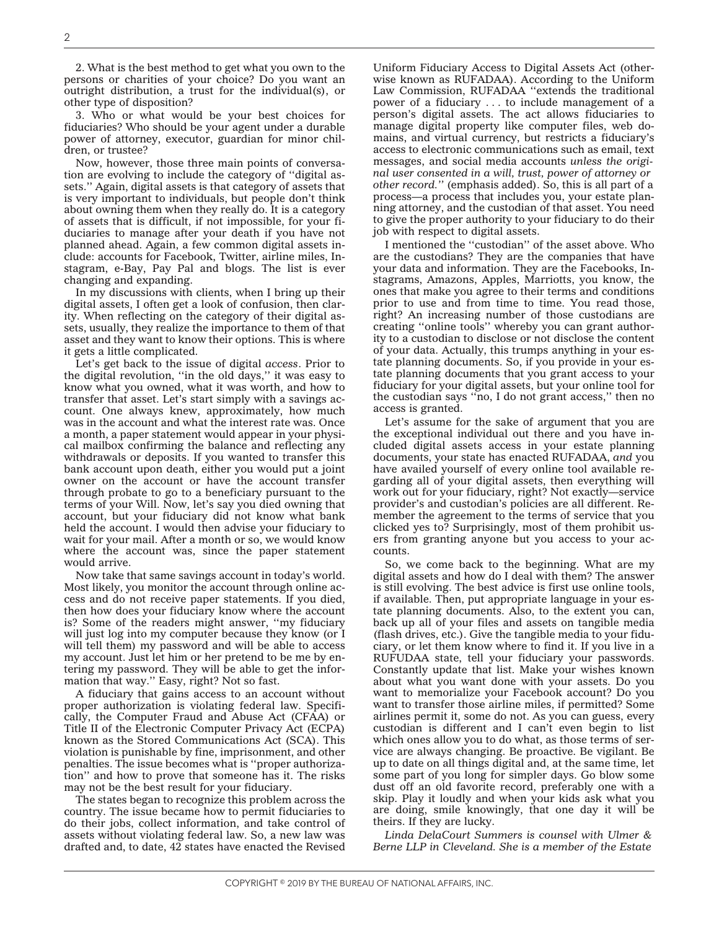2. What is the best method to get what you own to the persons or charities of your choice? Do you want an outright distribution, a trust for the individual(s), or other type of disposition?

3. Who or what would be your best choices for fiduciaries? Who should be your agent under a durable power of attorney, executor, guardian for minor children, or trustee?

Now, however, those three main points of conversation are evolving to include the category of ''digital assets.'' Again, digital assets is that category of assets that is very important to individuals, but people don't think about owning them when they really do. It is a category of assets that is difficult, if not impossible, for your fiduciaries to manage after your death if you have not planned ahead. Again, a few common digital assets include: accounts for Facebook, Twitter, airline miles, Instagram, e-Bay, Pay Pal and blogs. The list is ever changing and expanding.

In my discussions with clients, when I bring up their digital assets, I often get a look of confusion, then clarity. When reflecting on the category of their digital assets, usually, they realize the importance to them of that asset and they want to know their options. This is where it gets a little complicated.

Let's get back to the issue of digital *access*. Prior to the digital revolution, ''in the old days,'' it was easy to know what you owned, what it was worth, and how to transfer that asset. Let's start simply with a savings account. One always knew, approximately, how much was in the account and what the interest rate was. Once a month, a paper statement would appear in your physical mailbox confirming the balance and reflecting any withdrawals or deposits. If you wanted to transfer this bank account upon death, either you would put a joint owner on the account or have the account transfer through probate to go to a beneficiary pursuant to the terms of your Will. Now, let's say you died owning that account, but your fiduciary did not know what bank held the account. I would then advise your fiduciary to wait for your mail. After a month or so, we would know where the account was, since the paper statement would arrive.

Now take that same savings account in today's world. Most likely, you monitor the account through online access and do not receive paper statements. If you died, then how does your fiduciary know where the account is? Some of the readers might answer, ''my fiduciary will just log into my computer because they know (or I will tell them) my password and will be able to access my account. Just let him or her pretend to be me by entering my password. They will be able to get the information that way.'' Easy, right? Not so fast.

A fiduciary that gains access to an account without proper authorization is violating federal law. Specifically, the Computer Fraud and Abuse Act (CFAA) or Title II of the Electronic Computer Privacy Act (ECPA) known as the Stored Communications Act (SCA). This violation is punishable by fine, imprisonment, and other penalties. The issue becomes what is ''proper authorization'' and how to prove that someone has it. The risks may not be the best result for your fiduciary.

The states began to recognize this problem across the country. The issue became how to permit fiduciaries to do their jobs, collect information, and take control of assets without violating federal law. So, a new law was drafted and, to date, 42 states have enacted the Revised

Uniform Fiduciary Access to Digital Assets Act (otherwise known as RUFADAA). According to the Uniform Law Commission, RUFADAA ''extends the traditional power of a fiduciary . . . to include management of a person's digital assets. The act allows fiduciaries to manage digital property like computer files, web domains, and virtual currency, but restricts a fiduciary's access to electronic communications such as email, text messages, and social media accounts *unless the original user consented in a will, trust, power of attorney or other record.''* (emphasis added). So, this is all part of a process—a process that includes you, your estate planning attorney, and the custodian of that asset. You need to give the proper authority to your fiduciary to do their job with respect to digital assets.

I mentioned the ''custodian'' of the asset above. Who are the custodians? They are the companies that have your data and information. They are the Facebooks, Instagrams, Amazons, Apples, Marriotts, you know, the ones that make you agree to their terms and conditions prior to use and from time to time. You read those, right? An increasing number of those custodians are creating ''online tools'' whereby you can grant authority to a custodian to disclose or not disclose the content of your data. Actually, this trumps anything in your estate planning documents. So, if you provide in your estate planning documents that you grant access to your fiduciary for your digital assets, but your online tool for the custodian says ''no, I do not grant access,'' then no access is granted.

Let's assume for the sake of argument that you are the exceptional individual out there and you have included digital assets access in your estate planning documents, your state has enacted RUFADAA, *and* you have availed yourself of every online tool available regarding all of your digital assets, then everything will work out for your fiduciary, right? Not exactly—service provider's and custodian's policies are all different. Remember the agreement to the terms of service that you clicked yes to? Surprisingly, most of them prohibit users from granting anyone but you access to your accounts.

So, we come back to the beginning. What are my digital assets and how do I deal with them? The answer is still evolving. The best advice is first use online tools, if available. Then, put appropriate language in your estate planning documents. Also, to the extent you can, back up all of your files and assets on tangible media (flash drives, etc.). Give the tangible media to your fiduciary, or let them know where to find it. If you live in a RUFUDAA state, tell your fiduciary your passwords. Constantly update that list. Make your wishes known about what you want done with your assets. Do you want to memorialize your Facebook account? Do you want to transfer those airline miles, if permitted? Some airlines permit it, some do not. As you can guess, every custodian is different and I can't even begin to list which ones allow you to do what, as those terms of service are always changing. Be proactive. Be vigilant. Be up to date on all things digital and, at the same time, let some part of you long for simpler days. Go blow some dust off an old favorite record, preferably one with a skip. Play it loudly and when your kids ask what you are doing, smile knowingly, that one day it will be theirs. If they are lucky.

*Linda DelaCourt Summers is counsel with Ulmer & Berne LLP in Cleveland. She is a member of the Estate*